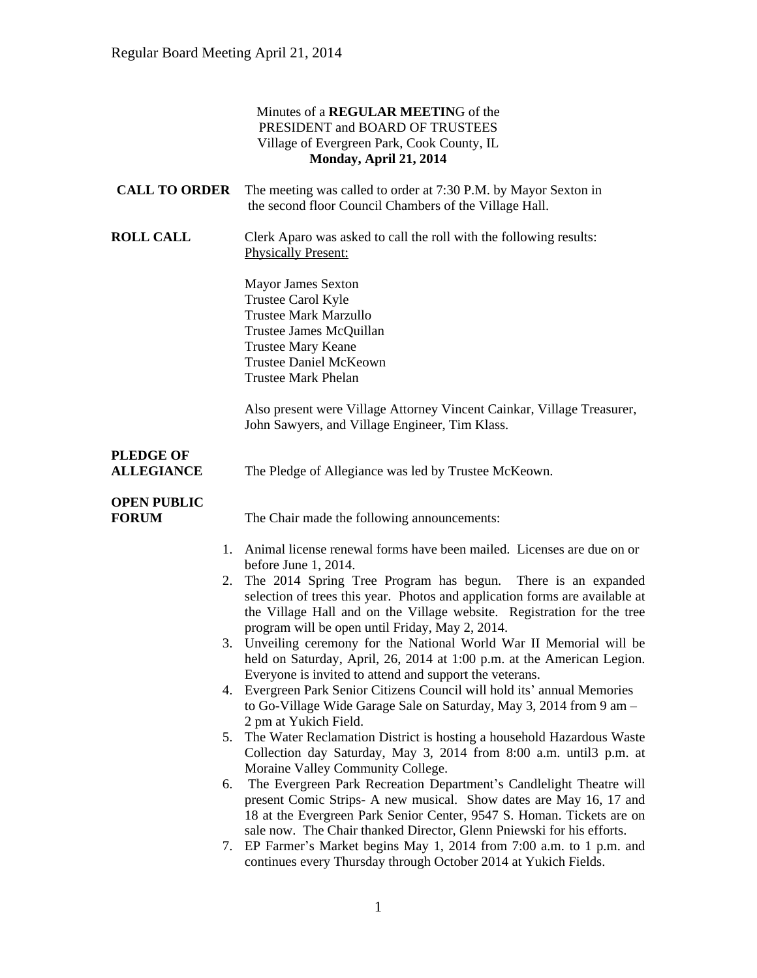#### Minutes of a **REGULAR MEETIN**G of the PRESIDENT and BOARD OF TRUSTEES Village of Evergreen Park, Cook County, IL **Monday, April 21, 2014**

| <b>CALL TO ORDER</b>                  | The meeting was called to order at 7:30 P.M. by Mayor Sexton in<br>the second floor Council Chambers of the Village Hall.                                                                                                                                                                                                        |
|---------------------------------------|----------------------------------------------------------------------------------------------------------------------------------------------------------------------------------------------------------------------------------------------------------------------------------------------------------------------------------|
| <b>ROLL CALL</b>                      | Clerk Aparo was asked to call the roll with the following results:<br><b>Physically Present:</b>                                                                                                                                                                                                                                 |
|                                       | <b>Mayor James Sexton</b><br>Trustee Carol Kyle<br><b>Trustee Mark Marzullo</b><br>Trustee James McQuillan<br><b>Trustee Mary Keane</b><br><b>Trustee Daniel McKeown</b><br><b>Trustee Mark Phelan</b>                                                                                                                           |
|                                       | Also present were Village Attorney Vincent Cainkar, Village Treasurer,<br>John Sawyers, and Village Engineer, Tim Klass.                                                                                                                                                                                                         |
| <b>PLEDGE OF</b><br><b>ALLEGIANCE</b> | The Pledge of Allegiance was led by Trustee McKeown.                                                                                                                                                                                                                                                                             |
| <b>OPEN PUBLIC</b><br><b>FORUM</b>    | The Chair made the following announcements:                                                                                                                                                                                                                                                                                      |
|                                       | 1. Animal license renewal forms have been mailed. Licenses are due on or<br>before June 1, 2014.                                                                                                                                                                                                                                 |
| 5.<br>6.                              | 2. The 2014 Spring Tree Program has begun. There is an expanded<br>selection of trees this year. Photos and application forms are available at<br>the Village Hall and on the Village website. Registration for the tree<br>program will be open until Friday, May 2, 2014.                                                      |
|                                       | 3. Unveiling ceremony for the National World War II Memorial will be<br>held on Saturday, April, 26, 2014 at 1:00 p.m. at the American Legion.<br>Everyone is invited to attend and support the veterans.                                                                                                                        |
|                                       | 4. Evergreen Park Senior Citizens Council will hold its' annual Memories<br>to Go-Village Wide Garage Sale on Saturday, May 3, 2014 from 9 am -<br>2 pm at Yukich Field.                                                                                                                                                         |
|                                       | The Water Reclamation District is hosting a household Hazardous Waste<br>Collection day Saturday, May 3, 2014 from 8:00 a.m. until 3 p.m. at                                                                                                                                                                                     |
|                                       | Moraine Valley Community College.<br>The Evergreen Park Recreation Department's Candlelight Theatre will<br>present Comic Strips- A new musical. Show dates are May 16, 17 and<br>18 at the Evergreen Park Senior Center, 9547 S. Homan. Tickets are on<br>sale now. The Chair thanked Director, Glenn Pniewski for his efforts. |
|                                       | 7. EP Farmer's Market begins May 1, 2014 from 7:00 a.m. to 1 p.m. and<br>continues every Thursday through October 2014 at Yukich Fields.                                                                                                                                                                                         |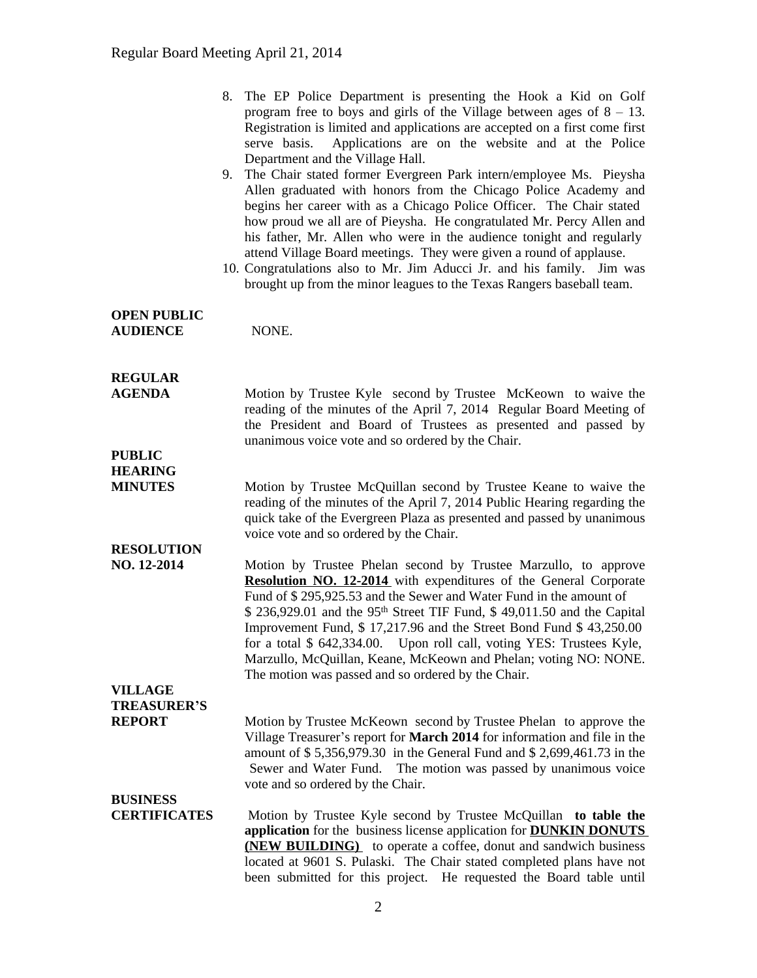|                                                       | 8. The EP Police Department is presenting the Hook a Kid on Golf<br>program free to boys and girls of the Village between ages of $8 - 13$ .<br>Registration is limited and applications are accepted on a first come first<br>Applications are on the website and at the Police<br>serve basis.<br>Department and the Village Hall.<br>9. The Chair stated former Evergreen Park intern/employee Ms. Pieysha<br>Allen graduated with honors from the Chicago Police Academy and<br>begins her career with as a Chicago Police Officer. The Chair stated<br>how proud we all are of Pieysha. He congratulated Mr. Percy Allen and<br>his father, Mr. Allen who were in the audience tonight and regularly<br>attend Village Board meetings. They were given a round of applause.<br>10. Congratulations also to Mr. Jim Aducci Jr. and his family. Jim was<br>brought up from the minor leagues to the Texas Rangers baseball team. |
|-------------------------------------------------------|-------------------------------------------------------------------------------------------------------------------------------------------------------------------------------------------------------------------------------------------------------------------------------------------------------------------------------------------------------------------------------------------------------------------------------------------------------------------------------------------------------------------------------------------------------------------------------------------------------------------------------------------------------------------------------------------------------------------------------------------------------------------------------------------------------------------------------------------------------------------------------------------------------------------------------------|
| <b>OPEN PUBLIC</b><br><b>AUDIENCE</b>                 | NONE.                                                                                                                                                                                                                                                                                                                                                                                                                                                                                                                                                                                                                                                                                                                                                                                                                                                                                                                               |
| <b>REGULAR</b><br><b>AGENDA</b>                       | Motion by Trustee Kyle second by Trustee McKeown to waive the<br>reading of the minutes of the April 7, 2014 Regular Board Meeting of<br>the President and Board of Trustees as presented and passed by<br>unanimous voice vote and so ordered by the Chair.                                                                                                                                                                                                                                                                                                                                                                                                                                                                                                                                                                                                                                                                        |
| <b>PUBLIC</b><br><b>HEARING</b><br><b>MINUTES</b>     | Motion by Trustee McQuillan second by Trustee Keane to waive the<br>reading of the minutes of the April 7, 2014 Public Hearing regarding the<br>quick take of the Evergreen Plaza as presented and passed by unanimous<br>voice vote and so ordered by the Chair.                                                                                                                                                                                                                                                                                                                                                                                                                                                                                                                                                                                                                                                                   |
| <b>RESOLUTION</b><br>NO. 12-2014                      | Motion by Trustee Phelan second by Trustee Marzullo, to approve<br><b>Resolution NO. 12-2014</b> with expenditures of the General Corporate<br>Fund of \$295,925.53 and the Sewer and Water Fund in the amount of<br>\$ 236,929.01 and the 95 <sup>th</sup> Street TIF Fund, \$ 49,011.50 and the Capital<br>Improvement Fund, \$17,217.96 and the Street Bond Fund \$43,250.00<br>for a total \$ 642,334.00. Upon roll call, voting YES: Trustees Kyle,<br>Marzullo, McQuillan, Keane, McKeown and Phelan; voting NO: NONE.<br>The motion was passed and so ordered by the Chair.                                                                                                                                                                                                                                                                                                                                                  |
| <b>VILLAGE</b><br><b>TREASURER'S</b><br><b>REPORT</b> | Motion by Trustee McKeown second by Trustee Phelan to approve the<br>Village Treasurer's report for <b>March 2014</b> for information and file in the<br>amount of \$5,356,979.30 in the General Fund and \$2,699,461.73 in the<br>Sewer and Water Fund.<br>The motion was passed by unanimous voice<br>vote and so ordered by the Chair.                                                                                                                                                                                                                                                                                                                                                                                                                                                                                                                                                                                           |
| <b>BUSINESS</b><br><b>CERTIFICATES</b>                | Motion by Trustee Kyle second by Trustee McQuillan to table the<br>application for the business license application for <b>DUNKIN DONUTS</b><br><b>(NEW BUILDING)</b> to operate a coffee, donut and sandwich business<br>located at 9601 S. Pulaski. The Chair stated completed plans have not<br>been submitted for this project. He requested the Board table until                                                                                                                                                                                                                                                                                                                                                                                                                                                                                                                                                              |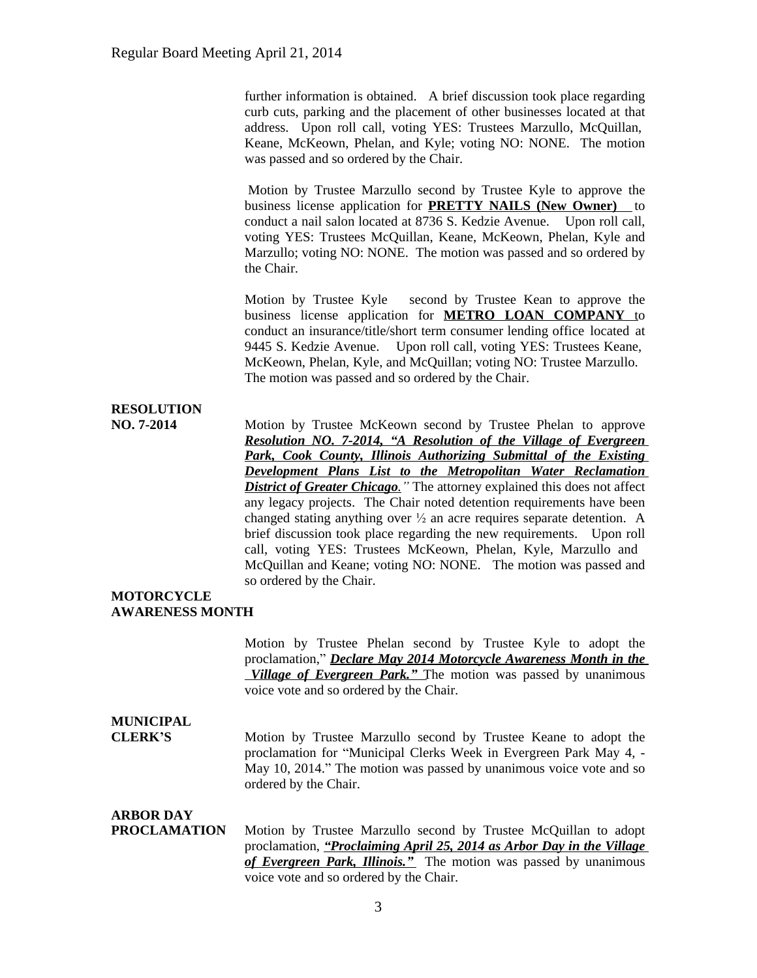further information is obtained. A brief discussion took place regarding curb cuts, parking and the placement of other businesses located at that address. Upon roll call, voting YES: Trustees Marzullo, McQuillan, Keane, McKeown, Phelan, and Kyle; voting NO: NONE. The motion was passed and so ordered by the Chair.

Motion by Trustee Marzullo second by Trustee Kyle to approve the business license application for **PRETTY NAILS (New Owner)** to conduct a nail salon located at 8736 S. Kedzie Avenue. Upon roll call, voting YES: Trustees McQuillan, Keane, McKeown, Phelan, Kyle and Marzullo; voting NO: NONE. The motion was passed and so ordered by the Chair.

Motion by Trustee Kyle second by Trustee Kean to approve the business license application for **METRO LOAN COMPANY** to conduct an insurance/title/short term consumer lending office located at 9445 S. Kedzie Avenue. Upon roll call, voting YES: Trustees Keane, McKeown, Phelan, Kyle, and McQuillan; voting NO: Trustee Marzullo. The motion was passed and so ordered by the Chair.

## **RESOLUTION**

**NO. 7-2014** Motion by Trustee McKeown second by Trustee Phelan to approve *Resolution NO. 7-2014, "A Resolution of the Village of Evergreen Park, Cook County, Illinois Authorizing Submittal of the Existing Development Plans List to the Metropolitan Water Reclamation* **District of Greater Chicago**. " The attorney explained this does not affect any legacy projects. The Chair noted detention requirements have been changed stating anything over  $\frac{1}{2}$  an acre requires separate detention. A brief discussion took place regarding the new requirements. Upon roll call, voting YES: Trustees McKeown, Phelan, Kyle, Marzullo and McQuillan and Keane; voting NO: NONE. The motion was passed and so ordered by the Chair.

#### **MOTORCYCLE AWARENESS MONTH**

Motion by Trustee Phelan second by Trustee Kyle to adopt the proclamation," *Declare May 2014 Motorcycle Awareness Month in the Village of Evergreen Park.*<sup>*n*</sup> The motion was passed by unanimous voice vote and so ordered by the Chair.

### **MUNICIPAL**

**CLERK'S** Motion by Trustee Marzullo second by Trustee Keane to adopt the proclamation for "Municipal Clerks Week in Evergreen Park May 4, - May 10, 2014." The motion was passed by unanimous voice vote and so ordered by the Chair.

#### **ARBOR DAY**

**PROCLAMATION** Motion by Trustee Marzullo second by Trustee McQuillan to adopt proclamation, *"Proclaiming April 25, 2014 as Arbor Day in the Village of Evergreen Park, Illinois."* The motion was passed by unanimous voice vote and so ordered by the Chair.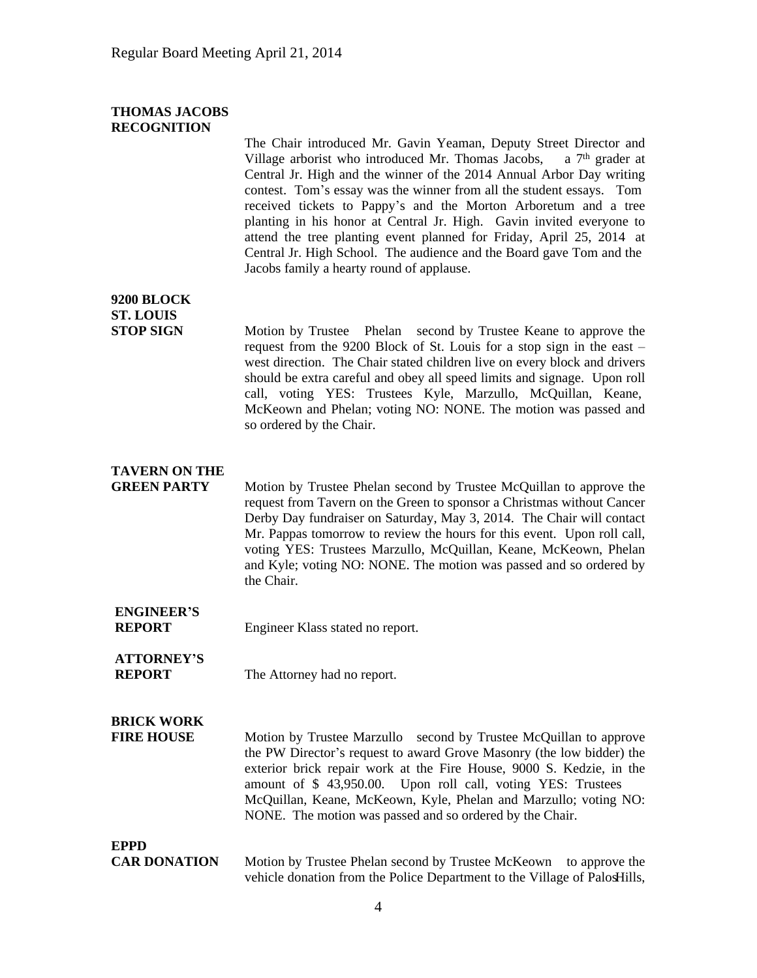#### **THOMAS JACOBS RECOGNITION**

The Chair introduced Mr. Gavin Yeaman, Deputy Street Director and Village arborist who introduced Mr. Thomas Jacobs, a  $7<sup>th</sup>$  grader at Central Jr. High and the winner of the 2014 Annual Arbor Day writing contest. Tom's essay was the winner from all the student essays. Tom received tickets to Pappy's and the Morton Arboretum and a tree planting in his honor at Central Jr. High. Gavin invited everyone to attend the tree planting event planned for Friday, April 25, 2014 at Central Jr. High School. The audience and the Board gave Tom and the Jacobs family a hearty round of applause.

#### **9200 BLOCK ST. LOUIS**

**STOP SIGN** Motion by Trustee Phelan second by Trustee Keane to approve the request from the 9200 Block of St. Louis for a stop sign in the east – west direction. The Chair stated children live on every block and drivers should be extra careful and obey all speed limits and signage. Upon roll call, voting YES: Trustees Kyle, Marzullo, McQuillan, Keane, McKeown and Phelan; voting NO: NONE. The motion was passed and so ordered by the Chair.

#### **TAVERN ON THE**

**GREEN PARTY** Motion by Trustee Phelan second by Trustee McQuillan to approve the request from Tavern on the Green to sponsor a Christmas without Cancer Derby Day fundraiser on Saturday, May 3, 2014. The Chair will contact Mr. Pappas tomorrow to review the hours for this event. Upon roll call, voting YES: Trustees Marzullo, McQuillan, Keane, McKeown, Phelan and Kyle; voting NO: NONE. The motion was passed and so ordered by the Chair.

**ENGINEER'S REPORT** Engineer Klass stated no report.

# **ATTORNEY'S**

**REPORT** The Attorney had no report.

## **BRICK WORK**

**FIRE HOUSE** Motion by Trustee Marzullo second by Trustee McQuillan to approve the PW Director's request to award Grove Masonry (the low bidder) the exterior brick repair work at the Fire House, 9000 S. Kedzie, in the amount of \$ 43,950.00. Upon roll call, voting YES: Trustees McQuillan, Keane, McKeown, Kyle, Phelan and Marzullo; voting NO: NONE. The motion was passed and so ordered by the Chair.

# **EPPD**

**CAR DONATION** Motion by Trustee Phelan second by Trustee McKeown to approve the vehicle donation from the Police Department to the Village of PalosHills,